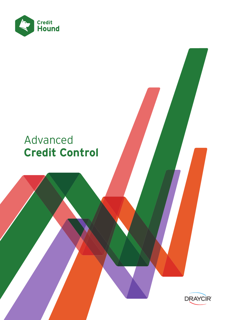

### Advanced **Credit Control**

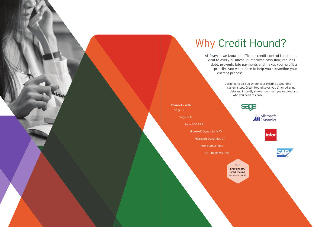# Why Credit Hound?

At Draycir, we know an efficient credit control function is vital to every business. It improves cash flow, reduces debt, prevents late payments and makes your profit a priority. And we're here to help you streamline your current process.

> Designed to pick up where your existing accounting system stops, Credit Hound saves you time re-keying data and instantly shows how much you're owed and who you need to chase.

**Connects with...** Sage 50

Sage 200

Sage 300 ERP

Microsoft Dynamics NAV

Microsoft Dynamics GP

Infor SunSystems

SAP Business One

Visit **draycir.com/ credithound** for more detail

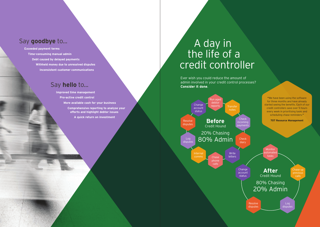Ever wish you could reduce the amount of admin involved in your credit control processes? **Consider it done**.

### Say **goodbye** to...

**Exceeded payment terms Time-consuming manual admin Debt caused by delayed payments Withheld money due to unresolved disputes Inconsistent customer communications** 

## A day in the life of a credit controller

### Say **hello** to...

**Improved time management Pro-active credit control More available cash for your business Comprehensive reporting to analyse your efforts and highlight debtor issues A quick return on investment**



Chase up

calls

Log disputes

Resolve disputes Monitor tomat tasks

Change account status

**After** Credit Hound

80% Chasing 20% Admin

**"**We have been using the software for three months and have already started seeing the benefits. Each of our credit controllers save over 5 hours every week in prioritising tasks and scheduling chase reminders.**"**

**707 Resource Management**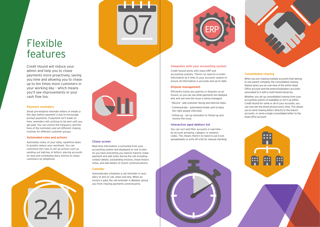Credit Hound will reduce your admin and help you to chase payments more proactively, saving you time and allowing you to chase up to ten times more customers in your working day – which means you'll see improvements in your cash flow too.

## Flexible features







07

#### **Consolidated chasing**

Office account and the<br>Sesociated to it with a<br>Whether you set up c<br>accounting system (if<br>Credit Hound for som<br>can now see the who<br>you to send chasing I Account<br>Credit<br>Can not<br>you to Whether you set up consolidated chasing from your accounting system (if available) or set it up within Credit Hound for some or all of your accounts, you can now see the whole picture every time. This allows you to send chasing letters directly to the branch accounts, or send a single consolidated letter to the head office account.

7 O O

When you are chasing multiple accounts that belong to one parent company, the consolidated chasing feature gives you an overview of the entire Head Office account and the branch/subsidiary accounts associated to it with a multi-tiered hierarchy.

ation as it links to your acco<br>all information is accurate a<br>**te management**<br>tly tracks any queries or displayed<br>as you can see what payme<br>d see how the issue is being<br>d - add customer-facing and Efficiently tracks any queries or disputes on an invoice, so you can see what payments are delayed, why and see how the issue is being managed.

#### **Integrates with your accounting system**

Credit Hound works with many ERP and accounting systems. There's no need to re-enter information as it links to your accounts system to ensure all information is accurate and up-to-date.

#### **Dispute management**

- Record add customer-facing and internal notes.
- Communicate automated emails sent to keep the right people informed.
- Follow-up set up reminders to follow-up and resolve the issue.

y schedules a ca<br>to call, when and<br>d, the call remind Automatically schedules a call reminder in your diary of who to call, when and why. When an invoice is paid, the call reminder is deleted; saving you from chasing payments unnecessarily.

#### **Interactive aged debtors list**

You can sort and filter accounts in real-time – by account grouping, category or analysis codes. This means there's no need to use Excel spreadsheets or print off a list for manual checking.





#### **Payment reminders**

Sends pre-emptive reminder letters or emails a few days before payment is due to encourage prompt payments. If payment isn't made on time, reminders will continue to be sent until you get paid. You can control the frequency and the tone of the reminders and set different chasing routines for different customer groups.

#### **Automated rules and actions**

Automates many of your daily, repetitive tasks to greatly reduce your workload. You can customise the rules to set up actions such as sending out batches of letters, placing accounts on stop and scheduling diary entries to chase customers by telephone.

#### **Chase screen**

Real-time information is extracted from your accounting system and displayed on one screen. So you have everything you need to hand to chase payment and add notes during the call including: contact details, outstanding invoices, chase history notes, and add details of recent communications.

#### **Calendar**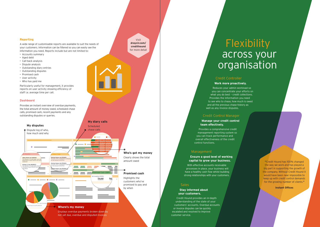#### **Dashboard**

Provides an instant overview of overdue payments, the total amount of money owed, scheduled chase calls, promised cash, recent payments and any

## **Flexibility** across your organisation

Visit **draycir.com/ credithound** for more detail

**"**Credit Hound has 100% changed the way we work and has played a big part in supporting the growth of the company. Without Credit Hound it would have been near impossible to keep up with credit control demands for the growing number of clients.**"**

**Instant Offices**

#### Credit Controller **Work more proactively.**

Credit Hound provides an in-depth understanding of the state of your customers' accounts. Overdue accounts or invoice disputes can be quickly **Example 3.24 Disputed 3.34 Disputed 3.34 Disputed 3.24 Disputed 3.24 Disputed 3.24 Disputed 3.24 Disputed 3.24** customer service.  $\qquad \qquad \bullet$ 

Reduces your admin workload so you can concentrate your efforts on what you do best - credit collections. Provides the information you need to see who to chase, how much is owed and all the previous chase history as well as any invoice disputes.

### Credit Control Manager

#### **Manage your credit control team effectively.**

Provides a comprehensive credit management reporting system so you can track performance and overall effectiveness of the credit control functions.

#### Management **M** manang sama

#### **Ensure a good level of working** capital to grow your business.  $\cdots$

With effective accounts receivable processes in place, your business will have a healthy cash flow whilst building strong relationships with your customers.

#### **Sales**

#### **Stay informed about your customers.**

Clearly shows the total

#### **Promised cash**

Highlights the customers who've promised to pay and

#### **Reporting**

A wide range of customisable reports are available to suit the needs of your customers. Information can be filtered so you can easily see the information you need. Reports include but are not limited to:

- Accounts summary
- Aged debt
- Call-back analysis
- Dispute analysis
- Outstanding diary entries

The diary entry scheduled for 27/11/2013 11:20

- Outstanding disputes
- Promised cash
- User activity
- Who has paid me

Particularly useful for management, it provides reports on user activity showing efficiency of staff i.e. average time per call.



**Festival Homes Ltd (FE3001)** The diary entry scheduled for 27/11/2013 11:30

for the amount of £5,711.01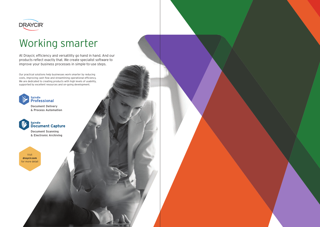At Draycir, efficiency and versatility go hand in hand. And our products reflect exactly that. We create specialist software to improve your business processes in simple-to-use steps.

Our practical solutions help businesses work smarter by reducing costs, improving cash flow and streamlining operational efficiency. We are dedicated to creating products with high levels of usability, supported by excellent resources and on-going development.





# Working smarter

**Document Scanning & Electronic Archiving**

**Document Delivery & Process Automation**



Visit **draycir.com** for more detail